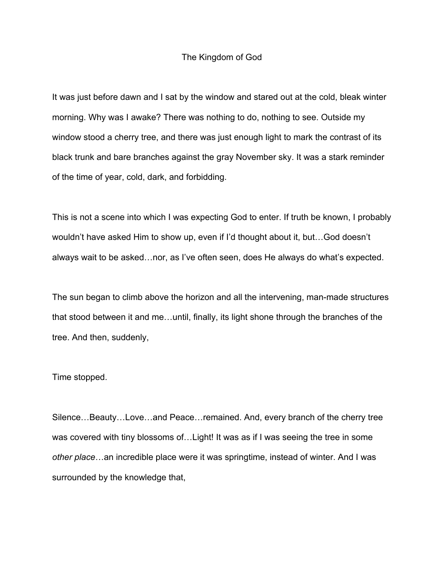## The Kingdom of God

It was just before dawn and I sat by the window and stared out at the cold, bleak winter morning. Why was I awake? There was nothing to do, nothing to see. Outside my window stood a cherry tree, and there was just enough light to mark the contrast of its black trunk and bare branches against the gray November sky. It was a stark reminder of the time of year, cold, dark, and forbidding.

This is not a scene into which I was expecting God to enter. If truth be known, I probably wouldn't have asked Him to show up, even if I'd thought about it, but…God doesn't always wait to be asked…nor, as I've often seen, does He always do what's expected.

The sun began to climb above the horizon and all the intervening, man-made structures that stood between it and me…until, finally, its light shone through the branches of the tree. And then, suddenly,

## Time stopped.

Silence…Beauty…Love…and Peace…remained. And, every branch of the cherry tree was covered with tiny blossoms of...Light! It was as if I was seeing the tree in some *other place*…an incredible place were it was springtime, instead of winter. And I was surrounded by the knowledge that,